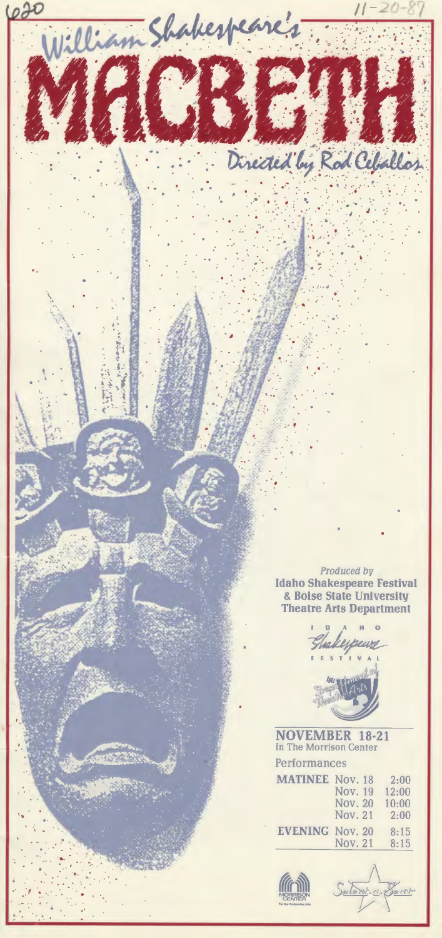Produced by Idaho Shakespeare Festival & Boise State University Theatre Arts Department

· .

..

. .

. ..

· ..

Directed by Rod Ceballos

. ·. . , .' ... .. .. · .

 $\mathbf{r}_1$  .  $\mathbf{r}_2$  .  $\mathbf{r}_3$ 

. . ·. . :. .. . ...

..

..

620

•.

. .

William Shakespeare's

. .

 $\overline{\mathcal{F}}$ 

.•. ·.· ' ... . . . .

*·r* •. .



NOVEMBER 18-21 In The Morrison Center Performances

| <b>MATINEE Nov. 18</b> | 2:00  |
|------------------------|-------|
| Nov. 19                | 12:00 |
| <b>Nov. 20</b>         | 10:00 |
| Nov. 21                | 2:00  |
| <b>EVENING Nov. 20</b> | 8:15  |
| Nov. 21                | 8:15  |
|                        |       |



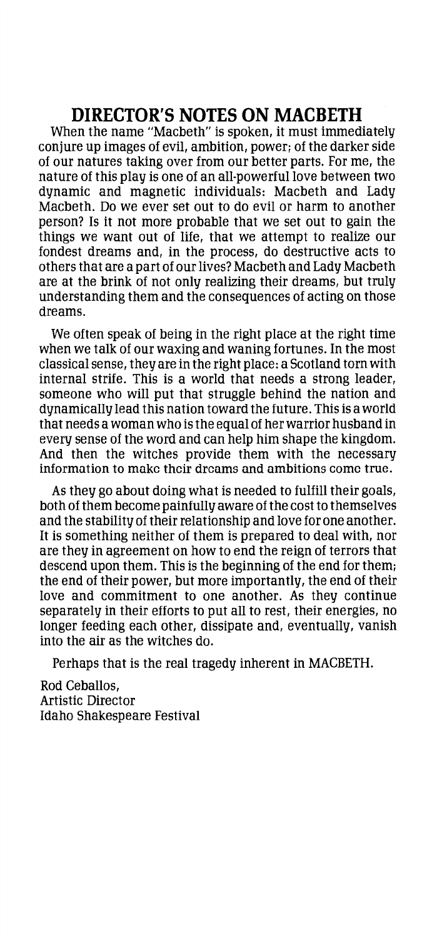#### **DIRECTOR'S NOTES ON MACBETH**

When the name "Macbeth" is spoken, it must immediately conjure up images of evil, ambition, power; of the darker side of our natures taking over from our better parts. For me, the nature of this play is one of an all-powerful love between two dynamic and magnetic individuals: Macbeth and Lady Macbeth. Do we ever set out to do evil or harm to another person? Is it not more probable that we set out to gain the things we want out of life, that we attempt to realize our fondest dreams and, in the process, do destructive acts to others that are a part of our lives? Macbeth and Lady Macbeth are at the brink of not only realizing their dreams, but truly understanding them and the consequences of acting on those dreams.

We often speak of being in the right place at the right time when we talk of our waxing and waning fortunes. In the most classical sense, they are in the right place: a Scotland torn with internal strife. This is a world that needs a strong leader, someone who will put that struggle behind the nation and dynamically lead this nation toward the future. This is a world that needs a woman who is the equal of her warrior husband in every sense of the word and can help him shape the kingdom. And then the witches provide them with the necessary information to make their dreams and ambitions come true.

As they go about doing what is needed to fulfill their goals, both of them become painfully aware of the cost to themselves and the stability of their relationship and love for one another. It is something neither of them is prepared to deal with, nor are they in agreement on how to end the reign of terrors that descend upon them. This is the beginning of the end for them; the end of their power, but more importantly, the end of their love and commitment to one another. As they continue separately in their efforts to put all to rest, their energies, no longer feeding each other, dissipate and, eventually, vanish into the air as the witches do.

Perhaps that is the real tragedy inherent in MACBETH.

Rod Ceballos, Artistic Director Idaho Shakespeare Festival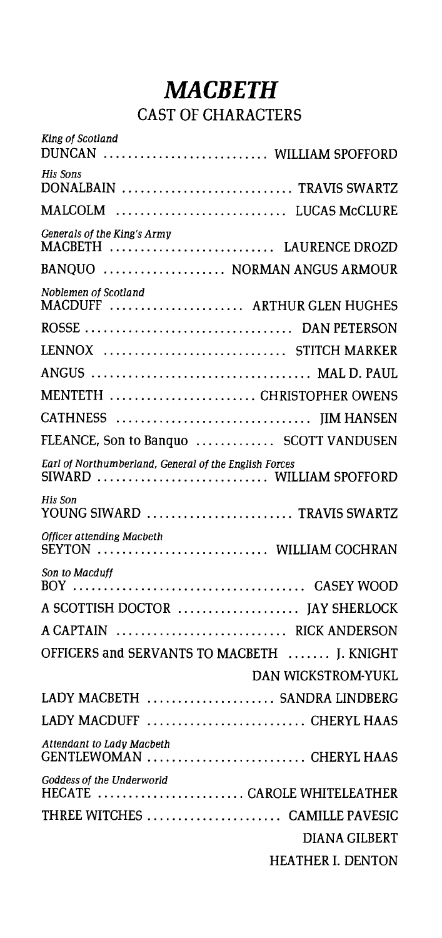# *MACBETH*  CAST OF CHARACTERS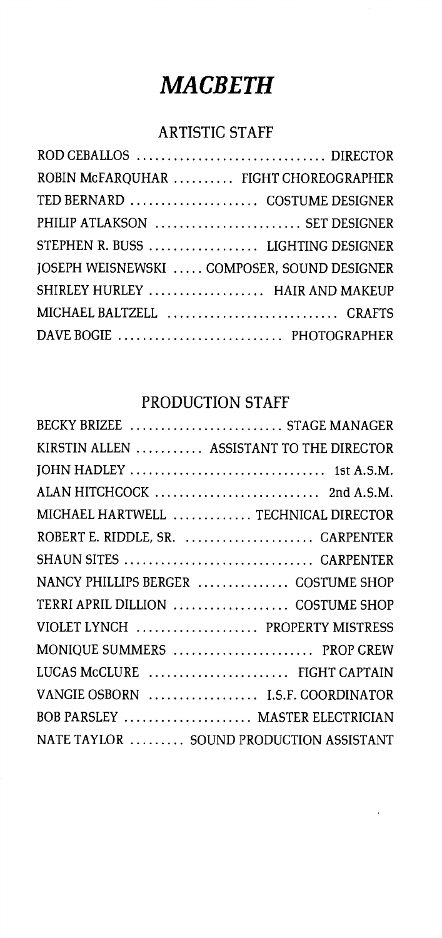# *MACBETH*

#### ARTISTIC STAFF

| ROBIN MCFARQUHAR  FIGHT CHOREOGRAPHER       |  |
|---------------------------------------------|--|
| TED BERNARD  COSTUME DESIGNER               |  |
| PHILIP ATLAKSON  SET DESIGNER               |  |
| STEPHEN R. BUSS  LIGHTING DESIGNER          |  |
| JOSEPH WEISNEWSKI  COMPOSER, SOUND DESIGNER |  |
| SHIRLEY HURLEY  HAIR AND MAKEUP             |  |
| MICHAEL BALTZELL  CRAFTS                    |  |
| DAVE BOGIE  PHOTOGRAPHER                    |  |
|                                             |  |

### PRODUCTION STAFF

| BECKY BRIZEE  STAGE MANAGER              |
|------------------------------------------|
| KIRSTIN ALLEN  ASSISTANT TO THE DIRECTOR |
|                                          |
| ALAN HITCHCOCK  2nd A.S.M.               |
| MICHAEL HARTWELL  TECHNICAL DIRECTOR     |
| ROBERT E. RIDDLE, SR.  CARPENTER         |
| SHAUN SITES  CARPENTER                   |
| NANCY PHILLIPS BERGER  COSTUME SHOP      |
| TERRI APRIL DILLION  COSTUME SHOP        |
| VIOLET LYNCH  PROPERTY MISTRESS          |
| MONIQUE SUMMERS  PROP CREW               |
| LUCAS McCLURE  FIGHT CAPTAIN             |
| VANGIE OSBORN  I.S.F. COORDINATOR        |
| BOB PARSLEY  MASTER ELECTRICIAN          |
| NATE TAYLOR  SOUND PRODUCTION ASSISTANT  |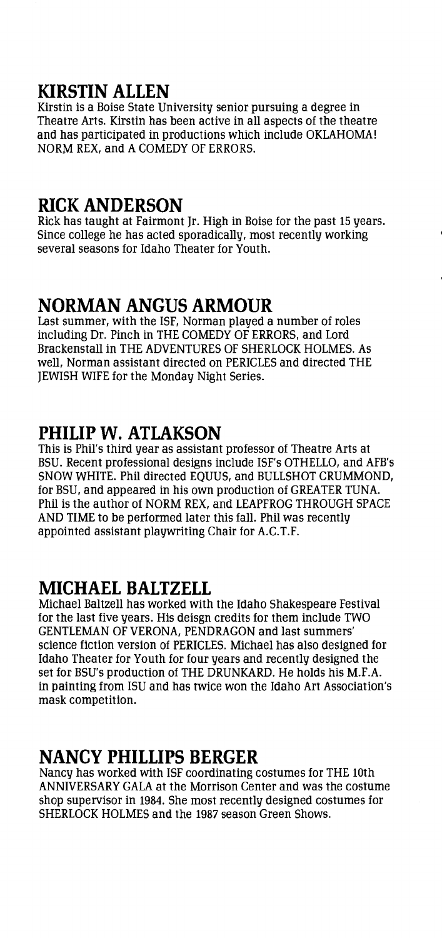#### **KIRSTIN ALLEN**

Kirstin is a Boise State University senior pursuing a degree in Theatre Arts. Kirstin has been active in all aspects of the theatre and has participated in productions which include OKLAHOMA! NORM REX, and A COMEDY OF ERRORS.

#### **RICK ANDERSON**

Rick has taught at Fairmont Jr. High in Boise for the past 15 years. Since college he has acted sporadically, most recently working several seasons for Idaho Theater for Youth.

#### **NORMAN ANGUS ARMOUR**

Last summer, with the ISF, Norman played a number of roles including Dr. Pinch in THE COMEDY OF ERRORS, and Lord Brackenstall in THE ADVENTURES OF SHERLOCK HOLMES. As well, Norman assistant directed on PERICLES and directed THE JEWISH WIFE for the Monday Night Series.

#### **PHILIP W. ATLAKSON**

This is Phil's third year as assistant professor of Theatre Arts at BSU. Recent professional designs include ISF's OTHELLO, and AFB's SNOW WHITE. Phil directed EQUUS, and BULLSHOT CRUMMOND, for BSU, and appeared in his own production of GREATER TUNA. Phil is the author of NORM REX, and LEAPFROG THROUGH SPACE AND TIME to be performed later this fall. Phil was recently appointed assistant playwriting Chair for A.C.T.F.

#### **MICHAEL BALTZELL**

Michael Baltzell has worked with the Idaho Shakespeare Festival for the last five years. His deisgn credits for them include TWO GENTLEMAN OF VERONA, PENDRAGON and last summers' science fiction version of PERICLES. Michael has also designed for Idaho Theater for Youth for four years and recently designed the set for BSU's production of THE DRUNKARD. He holds his M.F.A. in painting from ISU and has twice won the Idaho Art Association's mask competition.

#### **NANCY PHILLIPS BERGER**

Nancy has worked with ISF coordinating costumes for THE lOth ANNIVERSARY GALA at the Morrison Center and was the costume shop supervisor in 1984. She most recently designed costumes for SHERLOCK HOLMES and the 1987 season Green Shows.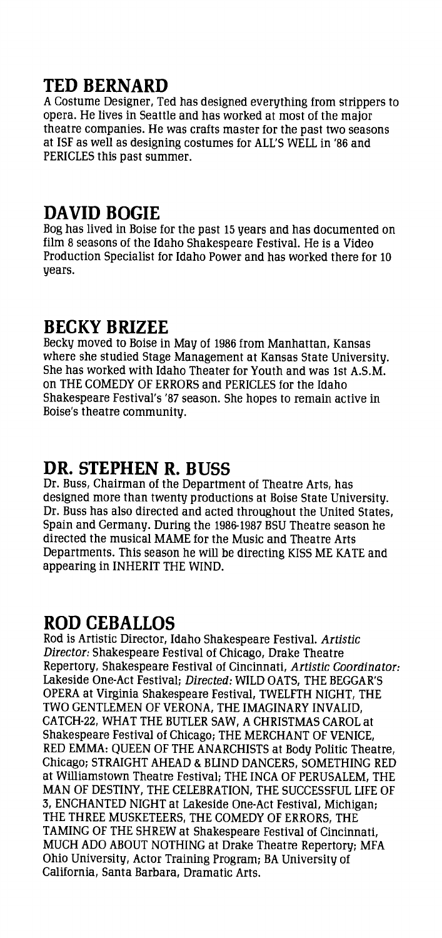# **TED BERNARD**

A Costume Designer, Ted has designed everything from strippers to opera. He lives in Seattle and has worked at most of the major theatre companies. He was crafts master for the past two seasons at ISF as well as designing costumes for ALL'S WELL in '86 and PERICLES this past summer.

#### **DAVID BOGIE**

Bog has lived in Boise for the past 15 years and has documented on film 8 seasons of the Idaho Shakespeare Festival. He is a Video Production Specialist for Idaho Power and has worked there for 10 years.

#### **BECKY BRIZEE**

Becky moved to Boise in May of 1986 from Manhattan, Kansas where she studied Stage Management at Kansas State University. She has worked with Idaho Theater for Youth and was 1st A.S.M. on THE COMEDY OF ERRORS and PERICLES for the Idaho Shakespeare Festival's '87 season. She hopes to remain active in Boise's theatre community.

### **DR. STEPHEN R. BUSS**

Dr. Buss, Chairman of the Department of Theatre Arts, has designed more than twenty productions at Boise State University. Dr. Buss has also directed and acted throughout the United States, Spain and Germany. During the 1986-1987 BSU Theatre season he directed the musical MAME for the Music and Theatre Arts Departments. This season he will be directing KISS ME KATE and appearing in INHERIT THE WIND.

#### **ROD CEBALLOS**

Rod is Artistic Director, Idaho Shakespeare Festival. Artistic Director: Shakespeare Festival of Chicago, Drake Theatre Repertory, Shakespeare Festival of Cincinnati, Artistic Coordinator: Lakeside One-Act Festival; Directed: WILD OATS, THE BEGGAR'S OPERA at Virginia Shakespeare Festival, TWELFTH NIGHT, THE TWO GENTLEMEN OF VERONA, THE IMAGINARY INVALID, CATCH-22, WHAT THE BUTLER SAW, A CHRISTMAS CAROL at Shakespeare Festival of Chicago; THE MERCHANT OF VENICE, RED EMMA: QUEEN OF THE ANARCHISTS at Body Politic Theatre, Chicago; STRAIGHT AHEAD & BLIND DANCERS, SOMETHING RED at Williamstown Theatre Festival; THE INCA OF PERUSALEM, THE MAN OF DESTINY, THE CELEBRATION, THE SUCCESSFUL LIFE OF 3, ENCHANTED NIGHT at Lakeside One-Act Festival, Michigan; THE THREE MUSKETEERS, THE COMEDY OF ERRORS, THE TAMING OF THE SHREW at Shakespeare Festival of Cincinnati, MUCH ADO ABOUT NOTHING at Drake Theatre Repertory; MFA Ohio University, Actor Training Program; BA University of California, Santa Barbara, Dramatic Arts.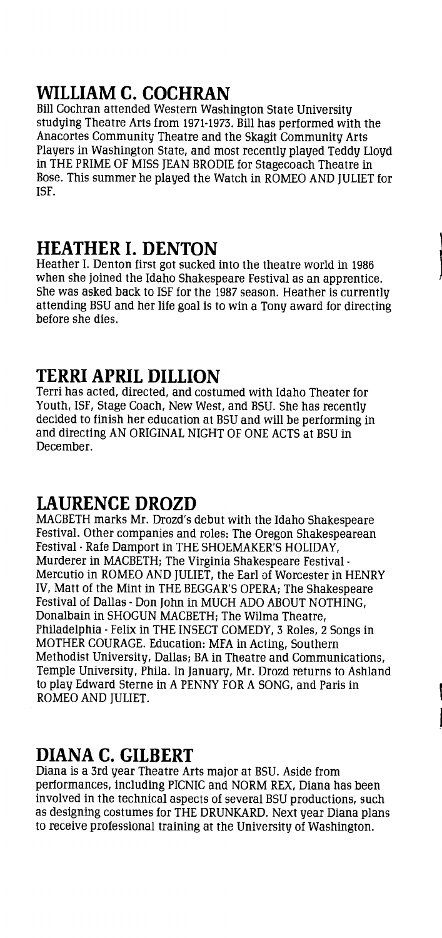# **WILLIAM C. COCHRAN**

Bill Cochran attended Western Washington State University studying Theatre Arts from 1971-1973. Bill has performed with the Anacortes Community Theatre and the Skagit Community Arts Players in Washington State, and most recently played Teddy Lloyd in THE PRIME OF MISS JEAN BRODIE for Stagecoach Theatre in Bose. This summer he played the Watch in ROMEO AND JULIET for ISF.

#### **HEATHER I. DENTON**

Heather I. Denton first got sucked into the theatre world in 1986 when she joined the Idaho Shakespeare Festival as an apprentice. She was asked back to ISF for the 1987 season. Heather is currently attending BSU and her life goal is to win a Tony award for directing before she dies.

#### **TERRI APRIL DILLION**

Terri has acted, directed, and costumed with Idaho Theater for Youth, ISF, Stage Coach, New West, and BSU. She has recently decided to finish her education at BSU and will be performing in and directing AN ORIGINAL NIGHT OF ONE ACTS at BSU in December.

### **LAURENCE DROZD**

MACBETH marks Mr. Drozd's debut with the Idaho Shakespeare Festival. Other companies and roles: The Oregon Shakespearean Festival- Rafe Damport in THE SHOEMAKER'S HOLIDAY, Murderer in MACBETH; The Virginia Shakespeare Festival - Mercutio in ROMEO AND JULIET, the Earl of Worcester in HENRY IV, Matt of the Mint in THE BEGGAR'S OPERA; The Shakespeare Festival of Dallas- Don John in MUCH ADO ABOUT NOTHING, Donalbain in SHOGUN MACBETH; The Wilma Theatre, Philadelphia- Felix in THE INSECT COMEDY, 3 Roles, 2 Songs in MOTHER COURAGE. Education: MFA in Acting, Southern Methodist University, Dallas; BA in Theatre and Communications, Temple University, Phila. In January, Mr. Drozd returns to Ashland to play Edward Sterne in A PENNY FOR A SONG, and Paris in ROMEO AND JULIET.

#### **DIANA C. GILBERT**

Diana is a 3rd year Theatre Arts major at BSU. Aside from performances, including PICNIC and NORM REX, Diana has been involved in the technical aspects of several BSU productions, such as designing costumes for THE DRUNKARD. Next year Diana plans to receive professional training at the University of Washington.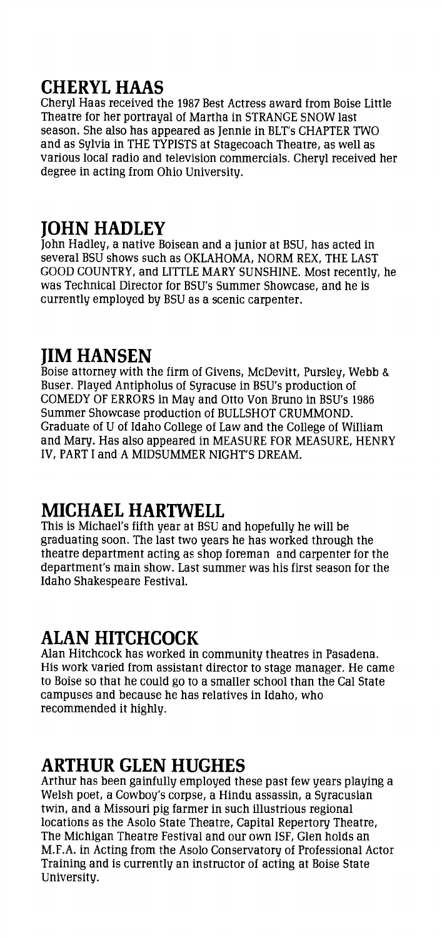# **CHERYL HAAS**

Cheryl Haas received the 1987 Best Actress award from Boise Little Theatre for her portrayal of Martha in STRANGE SNOW last season. She also has appeared as Jennie in BLT's CHAPTER TWO and as Sylvia in THE TYPISTS at Stagecoach Theatre, as well as various local radio and television commercials. Cheryl received her degree in acting from Ohio University.

### **JOHN HADLEY**

John Hadley, a native Boisean and a junior at BSU, has acted in several BSU shows such as OKLAHOMA, NORM REX, THE LAST GOOD COUNTRY, and LITTLE MARY SUNSHINE. Most recently, he was Technical Director for BSU's Summer Showcase, and he is currently employed by BSU as a scenic carpenter.

# **JIM HANSEN**

Boise attorney with the firm of Givens, McDevitt, Pursley, Webb & Buser. Played Antipholus of Syracuse in BSU's production of COMEDY OF ERRORS in May and Otto Von Bruno in BSU's 1986 Summer Showcase production of BULLSHOT CRUMMOND. Graduate of U of Idaho College of Law and the College of William and Mary. Has also appeared in MEASURE FOR MEASURE, HENRY IV, PART I and A MIDSUMMER NIGHT'S DREAM.

### **MICHAEL HARTWELL**

This is Michael's fifth year at BSU and hopefully he will be graduating soon. The last two years he has worked through the theatre department acting as shop foreman and carpenter for the department's main show. Last summer was his first season for the Idaho Shakespeare Festival.

### **ALAN HITCHCOCK**

Alan Hitchcock has worked in community theatres in Pasadena. His work varied from assistant director to stage manager. He came to Boise so that he could go to a smaller school than the Cal State campuses and because he has relatives in Idaho, who recommended it highly.

# **ARTHUR GLEN HUGHES**

Arthur has been gainfully employed these past few years playing a Welsh poet, a Cowboy's corpse, a Hindu assassin, a Syracusian twin, and a Missouri pig farmer in such illustrious regional locations as the Asolo State Theatre, Capital Repertory Theatre, The Michigan Theatre Festival and our own ISF, Glen holds an M.F.A. in Acting from the Asolo Conservatory of Professional Actor Training and is currently an instructor of acting at Boise State University.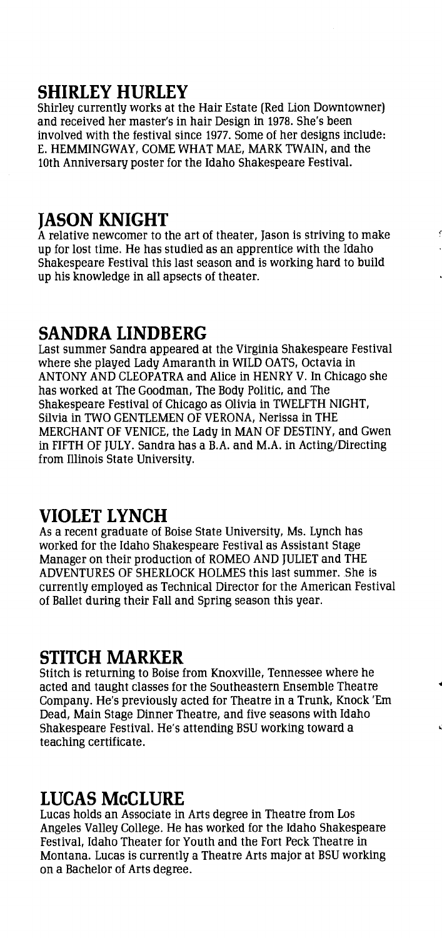#### **SHIRLEY HURLEY**

Shirley currently works at the Hair Estate (Red Lion Downtowner) and received her master's in hair Design in 1978. She's been involved with the festival since 1977. Some of her designs include: E. HEMMINGWAY, COME WHAT MAE, MARK TWAIN, and the lOth Anniversary poster for the Idaho Shakespeare Festival.

#### **JASON KNIGHT**

A relative newcomer to the art of theater, Jason is striving to make up for lost time. He has studied as an apprentice with the Idaho Shakespeare Festival this last season and is working hard to build up his knowledge in all apsects of theater.

#### **SANDRA LINDBERG**

Last summer Sandra appeared at the Virginia Shakespeare Festival where she played Lady Amaranth in WILD OATS, Octavia in ANTONY AND CLEOPATRA and Alice in HENRY V. In Chicago she has worked at The Goodman, The Body Politic, and The Shakespeare Festival of Chicago as Olivia in TWELFTH NIGHT, Silvia in TWO GENTLEMEN OF VERONA, Nerissa in THE MERCHANT OF VENICE, the Lady in MAN OF DESTINY, and Gwen in FIFTH OF JULY. Sandra has a B.A. and M.A. in Acting/Directing from lllinois State University.

#### **VIOLET LYNCH**

As a recent graduate of Boise State University, Ms. Lynch has worked for the Idaho Shakespeare Festival as Assistant Stage Manager on their production of ROMEO AND JULIET and THE ADVENTURES OF SHERLOCK HOLMES this last summer. She is currently employed as Technical Director for the American Festival of Ballet during their Fall and Spring season this year.

#### **STITCH MARKER**

Stitch is returning to Boise from Knoxville, Tennessee where he acted and taught classes for the Southeastern Ensemble Theatre Company. He's previously acted for Theatre in a Trunk, Knock 'Em Dead, Main Stage Dinner Theatre, and five seasons with Idaho Shakespeare Festival. He's attending BSU working toward a teaching certificate.

#### **LUCAS McCLURE**

Lucas holds an Associate in Arts degree in Theatre from Los Angeles Valley College. He has worked for the Idaho Shakespeare Festival, Idaho Theater for Youth and the Fort Peck Theatre in Montana. Lucas is currently a Theatre Arts major at BSU working on a Bachelor of Arts degree.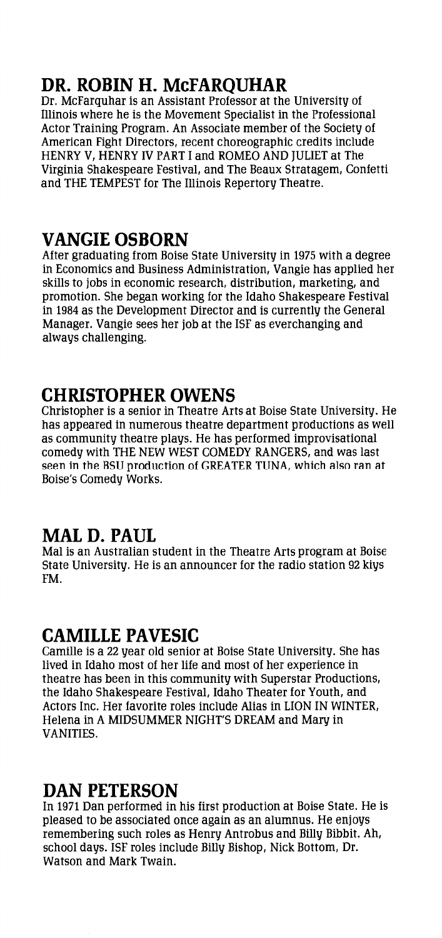# **DR. ROBIN H. McFARQUHAR**

Dr. McFarquhar is an Assistant Professor at the University of Illinois where he is the Movement Specialist in the Professional Actor Training Program. An Associate member of the Society of American Fight Directors, recent choreographic credits include HENRY V, HENRY IV PART I and ROMEO AND JULIET at The Virginia Shakespeare Festival, and The Beaux Stratagem, Confetti and THE TEMPEST for The Illinois Repertory Theatre.

### **VANGIE OSBORN**

After graduating from Boise State University in 1975 with a degree in Economics and Business Administration, Vangie has applied her skills to jobs in economic research, distribution, marketing, and promotion. She began working for the Idaho Shakespeare Festival in 1984 as the Development Director and is currently the General Manager. Vangie sees her job at the ISF as everchanging and always challenging.

### **CHRISTOPHER OWENS**

Christopher is a senior in Theatre Arts at Boise State University. He has appeared in numerous theatre department productions as well as community theatre plays. He has performed improvisational comedy with THE NEW WEST COMEDY RANGERS, and was last seen in the BSU production of GREATER TUNA, which also ran at Boise's Comedy Works.

# **MALD. PAUL**

Mal is an Australian student in the Theatre Arts program at Boise State University. He is an announcer for the radio station 92 kiys FM.

### **CAMILLE PAVESIC**

Camille is a 22 year old senior at Boise State University. She has lived in Idaho most of her life and most of her experience in theatre has been in this community with Superstar Productions, the Idaho Shakespeare Festival, Idaho Theater for Youth, and Actors Inc. Her favorite roles include Alias in LION IN WINTER, Helena in A MIDSUMMER NIGHT'S DREAM and Mary in VANITIES.

### **DAN PETERSON**

In 1971 Dan performed in his first production at Boise State. He is pleased to be associated once again as an alumnus. He enjoys remembering such roles as Henry Antrobus and Billy Bibbit. Ah, school days. ISF roles include Billy Bishop, Nick Bottom, Dr. Watson and Mark Twain.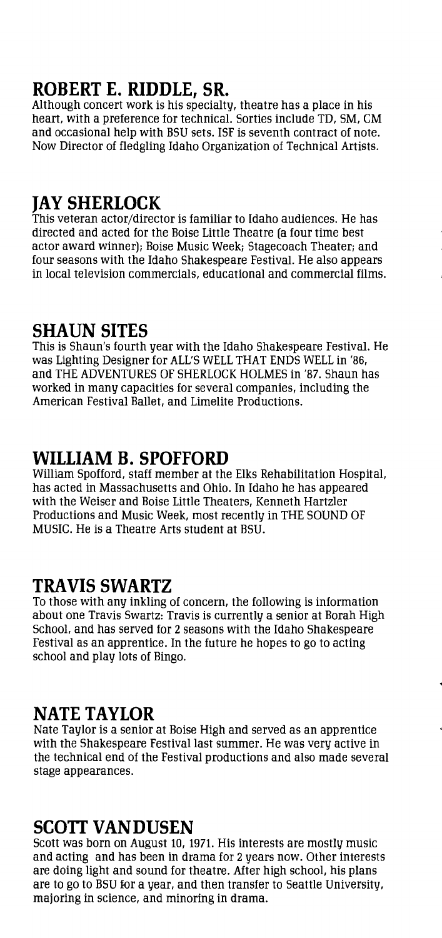# **ROBERT E. RIDDLE, SR.**

Although concert work is his specialty, theatre has a place in his heart, with a preference for technical. Sorties include TD, SM, CM and occasional help with BSU sets. ISF is seventh contract of note. Now Director of fledgling Idaho Organization of Technical Artists.

### **JAY SHERLOCK**

This veteran actor/director is familiar to Idaho audiences. He has directed and acted for the Boise Little Theatre (a four time best actor award winner); Boise Music Week; Stagecoach Theater; and four seasons with the Idaho Shakespeare Festival. He also appears in local television commercials, educational and commercial films.

### **SHAUN SITES**

This is Shaun's fourth year with the Idaho Shakespeare Festival. He was Lighting Designer for ALL'S WELL THAT ENDS WELL in '86, and THE ADVENTURES OF SHERLOCK HOLMES in '87. Shaun has worked in many capacities for several companies, including the American Festival Ballet, and Limelite Productions.

### **WILLIAM B. SPOFFORD**

William Spofford, staff member at the Elks Rehabilitation Hospital, has acted in Massachusetts and Ohio. In Idaho he has appeared with the Weiser and Boise Little Theaters, Kenneth Hartzler Productions and Music Week, most recently in THE SOUND OF MUSIC. He is a Theatre Arts student at BSU.

#### **TRAVIS SWARTZ**

To those with any inkling of concern, the following is information about one Travis Swartz: Travis is currently a senior at Borah High School, and has served for 2 seasons with the Idaho Shakespeare Festival as an apprentice. In the future he hopes to go to acting school and play lots of Bingo.

### **NATE TAYLOR**

Nate Taylor is a senior at Boise High and served as an apprentice with the Shakespeare Festival last summer. He was very active in the technical end of the Festival productions and also made several stage appearances.

#### **SCOTT VANDUSEN**

Scott was born on August 10, 1971. His interests are mostly music and acting and has been in drama for 2 years now. Other interests are doing light and sound for theatre. After high school, his plans are to go to BSU for a year, and then transfer to Seattle University, majoring in science, and minoring in drama.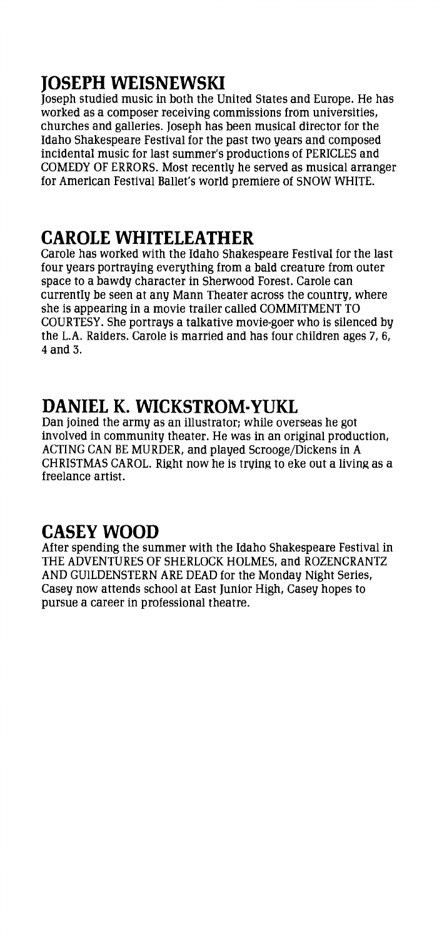# **JOSEPH WEISNEWSKI**

Joseph studied music in both the United States and Europe. He has worked as a composer receiving commissions from universities, churches and galleries. Joseph has been musical director for the Idaho Shakespeare Festival for the past two years and composed incidental music for last summer's productions of PERICLES and COMEDY OF ERRORS. Most recently he served as musical arranger for American Festival Ballet's world premiere of SNOW WHITE.

# **CAROLE WHITELEATHER**

Carole has worked with the Idaho Shakespeare Festival for the last four years portraying everything from a bald creature from outer space to a bawdy character in Sherwood Forest. Carole can currently be seen at any Mann Theater across the country, where she is appearing in a movie trailer called COMMITMENT TO COURTESY. She portrays a talkative movie-goer who is silenced by the L.A. Raiders. Carole is married and has four children ages 7, 6, 4 and 3.

### **DANIEL K. WICKSTROM·YUKL**

Dan joined the army as an illustrator; while overseas he got involved in community theater. He was in an original production, ACTING CAN BE MURDER, and played Scrooge/Dickens in A CHRISTMAS CAROL. Right now he is trying to eke out a living as a freelance artist.

# **CASEY WOOD**

After spending the summer with the Idaho Shakespeare Festival in THE ADVENTURES OF SHERLOCK HOLMES, and ROZENCRANTZ AND GUILDENSTERN ARE DEAD for the Monday Night Series, Casey now attends school at East Junior High, Casey hopes to pursue a career in professional theatre.